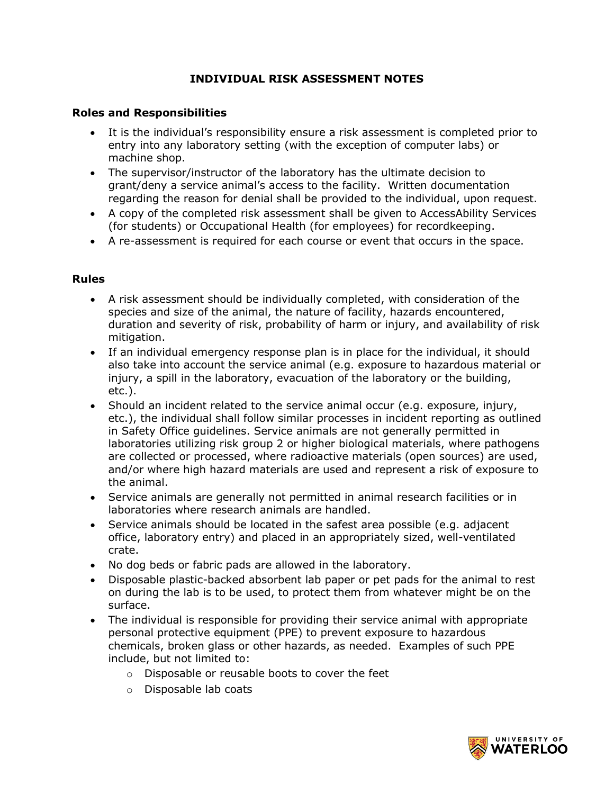## **INDIVIDUAL RISK ASSESSMENT NOTES**

#### **Roles and Responsibilities**

- It is the individual's responsibility ensure a risk assessment is completed prior to entry into any laboratory setting (with the exception of computer labs) or machine shop.
- The supervisor/instructor of the laboratory has the ultimate decision to grant/deny a service animal's access to the facility. Written documentation regarding the reason for denial shall be provided to the individual, upon request.
- A copy of the completed risk assessment shall be given to AccessAbility Services (for students) or Occupational Health (for employees) for recordkeeping.
- A re-assessment is required for each course or event that occurs in the space.

### **Rules**

- A risk assessment should be individually completed, with consideration of the species and size of the animal, the nature of facility, hazards encountered, duration and severity of risk, probability of harm or injury, and availability of risk mitigation.
- If an individual emergency response plan is in place for the individual, it should also take into account the service animal (e.g. exposure to hazardous material or injury, a spill in the laboratory, evacuation of the laboratory or the building, etc.).
- Should an incident related to the service animal occur (e.g. exposure, injury, etc.), the individual shall follow similar processes in incident reporting as outlined in Safety Office guidelines. Service animals are not generally permitted in laboratories utilizing risk group 2 or higher biological materials, where pathogens are collected or processed, where radioactive materials (open sources) are used, and/or where high hazard materials are used and represent a risk of exposure to the animal.
- Service animals are generally not permitted in animal research facilities or in laboratories where research animals are handled.
- Service animals should be located in the safest area possible (e.g. adjacent office, laboratory entry) and placed in an appropriately sized, well-ventilated crate.
- No dog beds or fabric pads are allowed in the laboratory.
- Disposable plastic-backed absorbent lab paper or pet pads for the animal to rest on during the lab is to be used, to protect them from whatever might be on the surface.
- The individual is responsible for providing their service animal with appropriate personal protective equipment (PPE) to prevent exposure to hazardous chemicals, broken glass or other hazards, as needed. Examples of such PPE include, but not limited to:
	- o Disposable or reusable boots to cover the feet
	- o Disposable lab coats

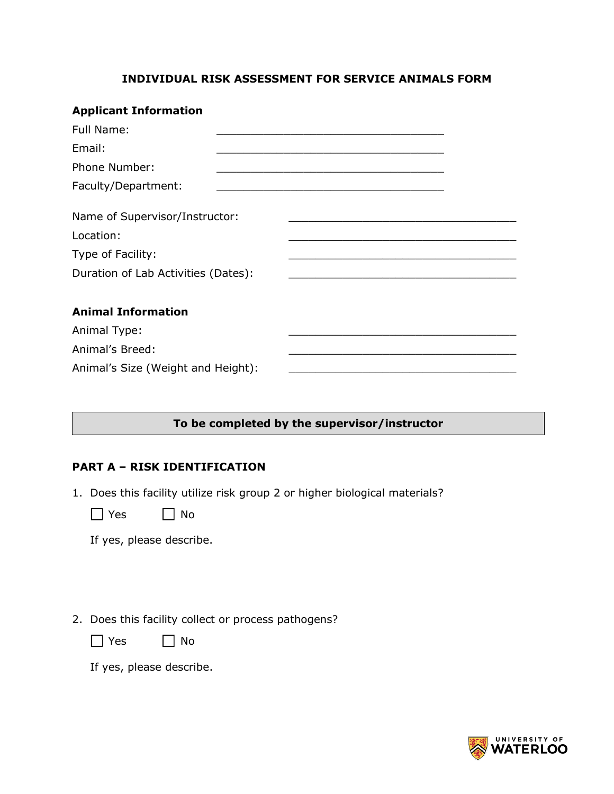### **INDIVIDUAL RISK ASSESSMENT FOR SERVICE ANIMALS FORM**

| <b>Applicant Information</b>        |                                                                                                                        |  |
|-------------------------------------|------------------------------------------------------------------------------------------------------------------------|--|
| Full Name:                          | <u> 1980 - Johann John Stone, mars eta bainar eta bainar eta baina eta baina eta baina eta baina eta baina eta b</u>   |  |
| Email:                              | <u> 1989 - Johann John Stone, market fan it ferskearre fan it ferskearre fan it ferskearre fan it ferskearre fan i</u> |  |
| <b>Phone Number:</b>                | <u> 1989 - Johann John Stoff, deutscher Stoffen und der Stoffen und der Stoffen und der Stoffen und der Stoffen un</u> |  |
| Faculty/Department:                 | the control of the control of the control of the control of the control of the control of                              |  |
| Name of Supervisor/Instructor:      |                                                                                                                        |  |
| Location:                           |                                                                                                                        |  |
| Type of Facility:                   | <u> 2002 - Jan Barat, margaret al II-lea (h. 1888).</u>                                                                |  |
| Duration of Lab Activities (Dates): | <u> 1989 - Johann John Harry, margaret amerikan basal (</u>                                                            |  |
|                                     |                                                                                                                        |  |
| <b>Animal Information</b>           |                                                                                                                        |  |
| Animal Type:                        |                                                                                                                        |  |
| Animal's Breed:                     |                                                                                                                        |  |
| Animal's Size (Weight and Height):  |                                                                                                                        |  |
|                                     |                                                                                                                        |  |

## **To be completed by the supervisor/instructor**

### **PART A – RISK IDENTIFICATION**

- 1. Does this facility utilize risk group 2 or higher biological materials?
	- $\Box$  Yes  $\Box$  No

If yes, please describe.

2. Does this facility collect or process pathogens?



If yes, please describe.

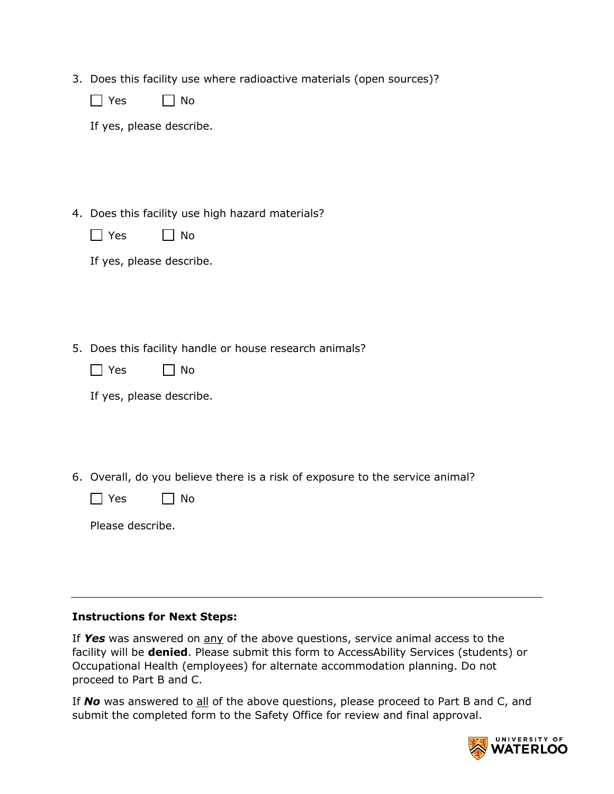3. Does this facility use where radioactive materials (open sources)?

|  | N٥ |
|--|----|
|--|----|

If yes, please describe.

4. Does this facility use high hazard materials?

|  | N٥ |
|--|----|
|--|----|

|  | If yes, please describe. |
|--|--------------------------|
|  |                          |

5. Does this facility handle or house research animals?

| $\alpha$ | N٥ |
|----------|----|
|----------|----|

|  |  |  | If yes, please describe. |
|--|--|--|--------------------------|
|--|--|--|--------------------------|

6. Overall, do you believe there is a risk of exposure to the service animal?

|  | Yes. |  | No |
|--|------|--|----|
|--|------|--|----|

| Please describe. |  |
|------------------|--|
|------------------|--|

#### **Instructions for Next Steps:**

If *Yes* was answered on any of the above questions, service animal access to the facility will be **denied**. Please submit this form to AccessAbility Services (students) or Occupational Health (employees) for alternate accommodation planning. Do not proceed to Part B and C.

If **No** was answered to all of the above questions, please proceed to Part B and C, and submit the completed form to the Safety Office for review and final approval.

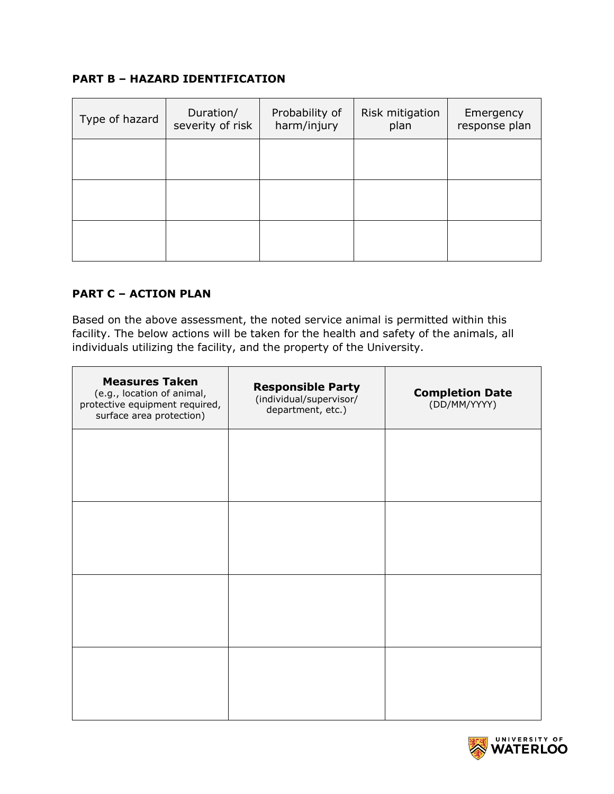# **PART B – HAZARD IDENTIFICATION**

| Type of hazard | Duration/<br>severity of risk | Probability of<br>harm/injury | Risk mitigation<br>plan | Emergency<br>response plan |
|----------------|-------------------------------|-------------------------------|-------------------------|----------------------------|
|                |                               |                               |                         |                            |
|                |                               |                               |                         |                            |
|                |                               |                               |                         |                            |

# **PART C – ACTION PLAN**

Based on the above assessment, the noted service animal is permitted within this facility. The below actions will be taken for the health and safety of the animals, all individuals utilizing the facility, and the property of the University.

| <b>Measures Taken</b><br>(e.g., location of animal,<br>protective equipment required,<br>surface area protection) | <b>Responsible Party</b><br>(individual/supervisor/<br>department, etc.) | <b>Completion Date</b><br>(DD/MM/YYYY) |
|-------------------------------------------------------------------------------------------------------------------|--------------------------------------------------------------------------|----------------------------------------|
|                                                                                                                   |                                                                          |                                        |
|                                                                                                                   |                                                                          |                                        |
|                                                                                                                   |                                                                          |                                        |
|                                                                                                                   |                                                                          |                                        |
|                                                                                                                   |                                                                          |                                        |

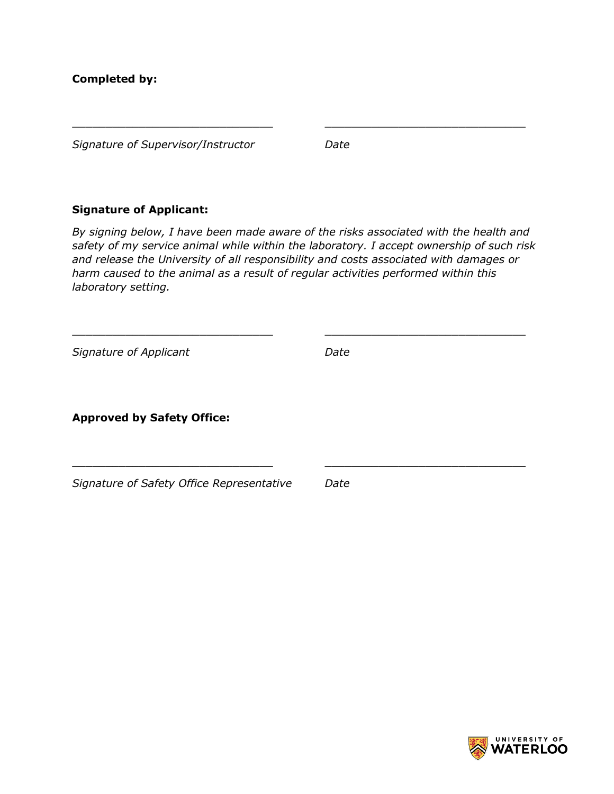*Signature of Supervisor/Instructor Date*

# **Signature of Applicant:**

*By signing below, I have been made aware of the risks associated with the health and safety of my service animal while within the laboratory. I accept ownership of such risk and release the University of all responsibility and costs associated with damages or harm caused to the animal as a result of regular activities performed within this laboratory setting.* 

\_\_\_\_\_\_\_\_\_\_\_\_\_\_\_\_\_\_\_\_\_\_\_\_\_\_\_\_\_\_ \_\_\_\_\_\_\_\_\_\_\_\_\_\_\_\_\_\_\_\_\_\_\_\_\_\_\_\_\_\_

 $\overline{\phantom{a}}$  , and the contribution of the contribution of  $\overline{\phantom{a}}$  , and  $\overline{\phantom{a}}$  , and  $\overline{\phantom{a}}$  , and  $\overline{\phantom{a}}$  , and  $\overline{\phantom{a}}$  , and  $\overline{\phantom{a}}$  , and  $\overline{\phantom{a}}$  , and  $\overline{\phantom{a}}$  , and  $\overline{\phantom{a}}$  , and

 $\_$ 

*Signature of Applicant Date*

**Approved by Safety Office:**

*Signature of Safety Office Representative Date*